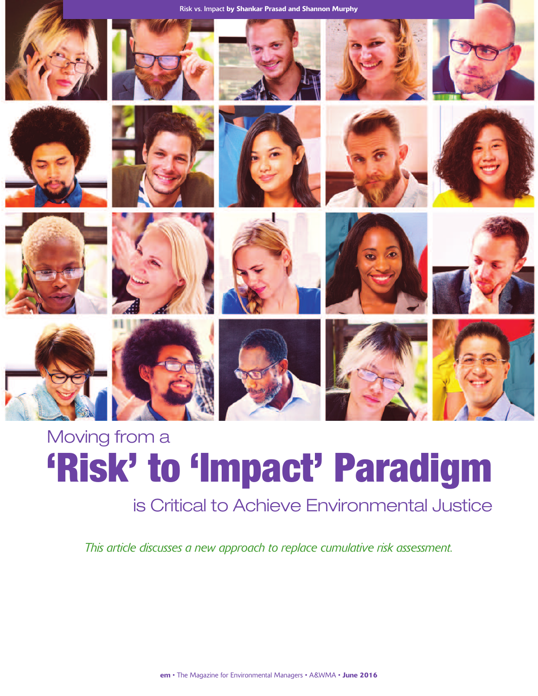

# 'Risk' to 'Impact' Paradigm Moving from a

# is Critical to Achieve Environmental Justice

*This article discusses a new approach to replace cumulative risk assessment.*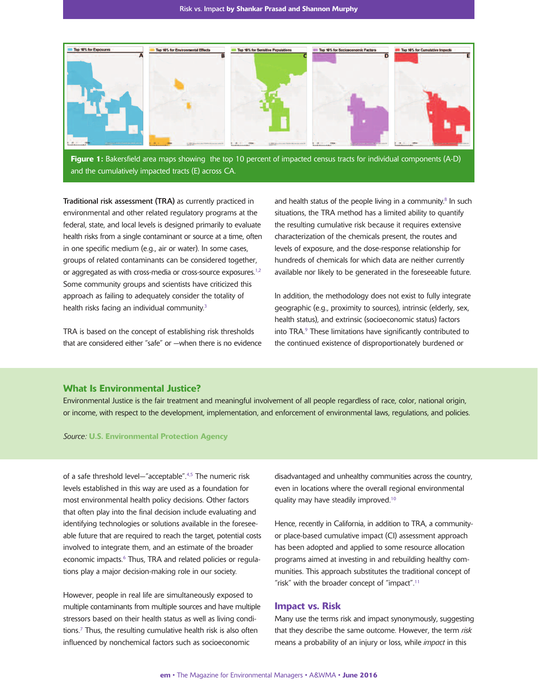

**Figure 1:** Bakersfield area maps showing the top 10 percent of impacted census tracts for individual components (A-D) and the cumulatively impacted tracts (E) across CA.

Traditional risk assessment (TRA) as currently practiced in environmental and other related regulatory programs at the federal, state, and local levels is designed primarily to evaluate health risks from a single contaminant or source at a time, often in one specific medium (e.g., air or water). In some cases, groups of related contaminants can be considered together, or aggregated as with cross-media or cross-source exposures.<sup>1,2</sup> Some community groups and scientists have criticized this approach as failing to adequately consider the totality of health risks facing an individual community. 3

TRA is based on the concept of establishing risk thresholds that are considered either "safe" or —when there is no evidence

and health status of the people living in a community. <sup>8</sup> In such situations, the TRA method has a limited ability to quantify the resulting cumulative risk because it requires extensive characterization of the chemicals present, the routes and levels of exposure, and the dose-response relationship for hundreds of chemicals for which data are neither currently available nor likely to be generated in the foreseeable future.

In addition, the methodology does not exist to fully integrate geographic (e.g., proximity to sources), intrinsic (elderly, sex, health status), and extrinsic (socioeconomic status) factors into TRA. <sup>9</sup> These limitations have significantly contributed to the continued existence of disproportionately burdened or

# **What Is Environmental Justice?**

Environmental Justice is the fair treatment and meaningful involvement of all people regardless of race, color, national origin, or income, with respect to the development, implementation, and enforcement of environmental laws, regulations, and policies.

*Source:* **U.S. Environmental Protection Agency**

of a safe threshold level—"acceptable".<sup>4,5</sup> The numeric risk levels established in this way are used as a foundation for most environmental health policy decisions. Other factors that often play into the final decision include evaluating and identifying technologies or solutions available in the foreseeable future that are required to reach the target, potential costs involved to integrate them, and an estimate of the broader economic impacts. <sup>6</sup> Thus, TRA and related policies or regulations play a major decision-making role in our society.

However, people in real life are simultaneously exposed to multiple contaminants from multiple sources and have multiple stressors based on their health status as well as living conditions. <sup>7</sup> Thus, the resulting cumulative health risk is also often influenced by nonchemical factors such as socioeconomic

disadvantaged and unhealthy communities across the country, even in locations where the overall regional environmental quality may have steadily improved. 10

Hence, recently in California, in addition to TRA, a communityor place-based cumulative impact (CI) assessment approach has been adopted and applied to some resource allocation programs aimed at investing in and rebuilding healthy communities. This approach substitutes the traditional concept of "risk" with the broader concept of "impact".<sup>11</sup>

#### **Impact vs. Risk**

Many use the terms risk and impact synonymously, suggesting that they describe the same outcome. However, the term *risk* means a probability of an injury or loss, while *impact* in this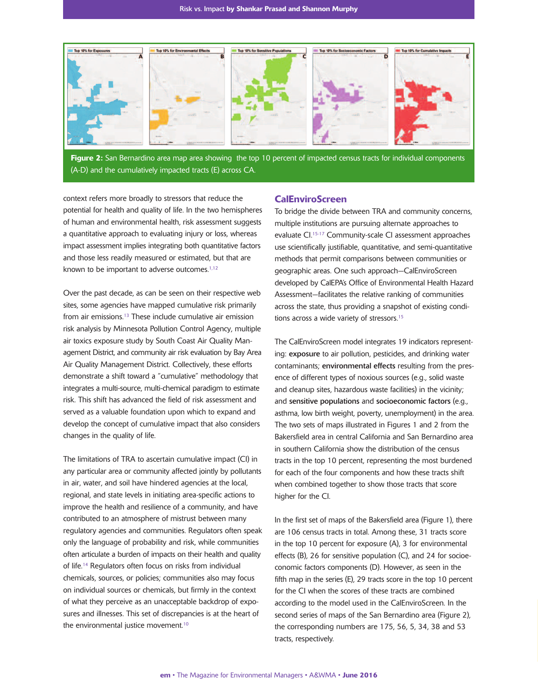

**Figure 2:** San Bernardino area map area showing the top 10 percent of impacted census tracts for individual components (A-D) and the cumulatively impacted tracts (E) across CA.

context refers more broadly to stressors that reduce the potential for health and quality of life. In the two hemispheres of human and environmental health, risk assessment suggests a quantitative approach to evaluating injury or loss, whereas impact assessment implies integrating both quantitative factors and those less readily measured or estimated, but that are known to be important to adverse outcomes.<sup>1,12</sup>

Over the past decade, as can be seen on their respective web sites, some agencies have mapped cumulative risk primarily from air emissions. <sup>13</sup> These include cumulative air emission risk analysis by Minnesota Pollution Control Agency, multiple air toxics exposure study by South Coast Air Quality Management District, and community air risk evaluation by Bay Area Air Quality Management District. Collectively, these efforts demonstrate a shift toward a "cumulative" methodology that integrates a multi-source, multi-chemical paradigm to estimate risk. This shift has advanced the field of risk assessment and served as a valuable foundation upon which to expand and develop the concept of cumulative impact that also considers changes in the quality of life.

The limitations of TRA to ascertain cumulative impact (CI) in any particular area or community affected jointly by pollutants in air, water, and soil have hindered agencies at the local, regional, and state levels in initiating area-specific actions to improve the health and resilience of a community, and have contributed to an atmosphere of mistrust between many regulatory agencies and communities. Regulators often speak only the language of probability and risk, while communities often articulate a burden of impacts on their health and quality of life. <sup>14</sup> Regulators often focus on risks from individual chemicals, sources, or policies; communities also may focus on individual sources or chemicals, but firmly in the context of what they perceive as an unacceptable backdrop of exposures and illnesses. This set of discrepancies is at the heart of the environmental justice movement. 10

## **CalEnviroScreen**

To bridge the divide between TRA and community concerns, multiple institutions are pursuing alternate approaches to evaluate CI. 15-17 Community-scale CI assessment approaches use scientifically justifiable, quantitative, and semi-quantitative methods that permit comparisons between communities or geographic areas. One such approach—CalEnviroScreen developed by CalEPA's Office of Environmental Health Hazard Assessment—facilitates the relative ranking of communities across the state, thus providing a snapshot of existing conditions across a wide variety of stressors. 15

The CalEnviroScreen model integrates 19 indicators representing: exposure to air pollution, pesticides, and drinking water contaminants; environmental effects resulting from the presence of different types of noxious sources (e.g., solid waste and cleanup sites, hazardous waste facilities) in the vicinity; and sensitive populations and socioeconomic factors (e.g., asthma, low birth weight, poverty, unemployment) in the area. The two sets of maps illustrated in Figures 1 and 2 from the Bakersfield area in central California and San Bernardino area in southern California show the distribution of the census tracts in the top 10 percent, representing the most burdened for each of the four components and how these tracts shift when combined together to show those tracts that score higher for the CI.

In the first set of maps of the Bakersfield area (Figure 1), there are 106 census tracts in total. Among these, 31 tracts score in the top 10 percent for exposure (A), 3 for environmental effects (B), 26 for sensitive population (C), and 24 for socioeconomic factors components (D). However, as seen in the fifth map in the series (E), 29 tracts score in the top 10 percent for the CI when the scores of these tracts are combined according to the model used in the CalEnviroScreen. In the second series of maps of the San Bernardino area (Figure 2), the corresponding numbers are 175, 56, 5, 34, 38 and 53 tracts, respectively.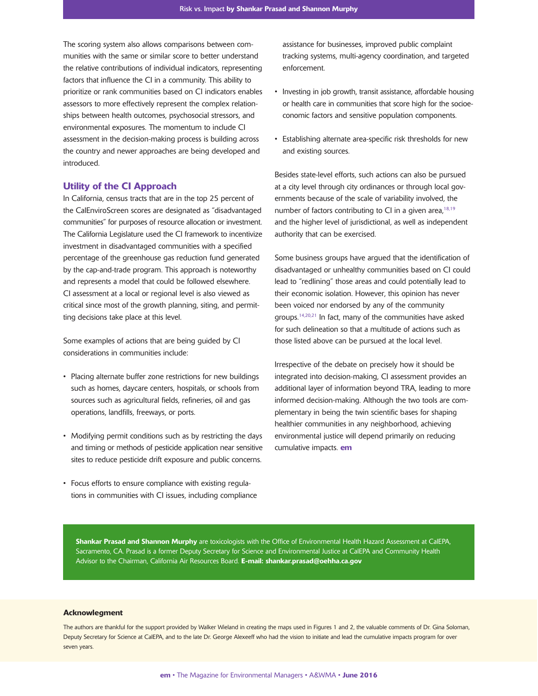The scoring system also allows comparisons between communities with the same or similar score to better understand the relative contributions of individual indicators, representing factors that influence the CI in a community. This ability to prioritize or rank communities based on CI indicators enables assessors to more effectively represent the complex relationships between health outcomes, psychosocial stressors, and environmental exposures. The momentum to include CI assessment in the decision-making process is building across the country and newer approaches are being developed and introduced.

# **Utility of the CI Approach**

In California, census tracts that are in the top 25 percent of the CalEnviroScreen scores are designated as "disadvantaged communities" for purposes of resource allocation or investment. The California Legislature used the CI framework to incentivize investment in disadvantaged communities with a specified percentage of the greenhouse gas reduction fund generated by the cap-and-trade program. This approach is noteworthy and represents a model that could be followed elsewhere. CI assessment at a local or regional level is also viewed as critical since most of the growth planning, siting, and permitting decisions take place at this level.

Some examples of actions that are being guided by CI considerations in communities include:

- Placing alternate buffer zone restrictions for new buildings such as homes, daycare centers, hospitals, or schools from sources such as agricultural fields, refineries, oil and gas operations, landfills, freeways, or ports.
- Modifying permit conditions such as by restricting the days and timing or methods of pesticide application near sensitive sites to reduce pesticide drift exposure and public concerns.
- Focus efforts to ensure compliance with existing regulations in communities with CI issues, including compliance

assistance for businesses, improved public complaint tracking systems, multi-agency coordination, and targeted enforcement.

- Investing in job growth, transit assistance, affordable housing or health care in communities that score high for the socioeconomic factors and sensitive population components.
- Establishing alternate area-specific risk thresholds for new and existing sources.

Besides state-level efforts, such actions can also be pursued at a city level through city ordinances or through local governments because of the scale of variability involved, the number of factors contributing to CI in a given area,<sup>18,19</sup> and the higher level of jurisdictional, as well as independent authority that can be exercised.

Some business groups have argued that the identification of disadvantaged or unhealthy communities based on CI could lead to "redlining" those areas and could potentially lead to their economic isolation. However, this opinion has never been voiced nor endorsed by any of the community groups. 14,20,21 In fact, many of the communities have asked for such delineation so that a multitude of actions such as those listed above can be pursued at the local level.

Irrespective of the debate on precisely how it should be integrated into decision-making, CI assessment provides an additional layer of information beyond TRA, leading to more informed decision-making. Although the two tools are complementary in being the twin scientific bases for shaping healthier communities in any neighborhood, achieving environmental justice will depend primarily on reducing cumulative impacts. **em**

**Shankar Prasad and Shannon Murphy** are toxicologists with the Office of Environmental Health Hazard Assessment at CalEPA, Sacramento, CA. Prasad is a former Deputy Secretary for Science and Environmental Justice at CalEPA and Community Health Advisor to the Chairman, California Air Resources Board. **E-mail: shankar.prasad@oehha.ca.gov**

### **Acknowlegment**

The authors are thankful for the support provided by Walker Wieland in creating the maps used in Figures 1 and 2, the valuable comments of Dr. Gina Soloman, Deputy Secretary for Science at CalEPA, and to the late Dr. George Alexeeff who had the vision to initiate and lead the cumulative impacts program for over seven years.